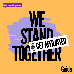



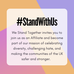### #StandWithUs

We Stand Together invites you to join us as an Affiliate and become part of our mission of celebrating diversity, challenging hate, and making the communities of the UK safer and stronger.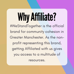## Why Affiliate?

#WeStandTogether is the official brand for community cohesion in Greater Manchester. As the nonprofit representing this brand, getting Affiliated with us gives you access to a multitude of resources.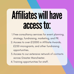### Affiliateswillhave accessto:

- 1. Free consultancy services for event planning, strategy, fundraising, marketing, and PR.
- Access to over £12000 in Affiliate Awards, 2. £250 microgrants, and other fundraising opportunities.
- 3. Access to our extensive network of contacts across Greater Manchester.
- 4. Training opportunities for staff.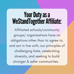#### Your Duty as a WeStandTogether Affiliate:

Affiliated schools/community groups/ organisations have no obligations other than to agree to, and act in line with, our principles of challenging hate, celebrating diversity, and seeking to build stronger & safer communities.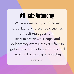#### **Affiliate Autonomy**

While we encourage affiliated organizations to use tools such as difficult dialogues, antidiscrimination workshops, and celebratory events, they are free to get as creative as they want and will retain full autonomy in how they operate.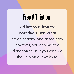#### FreeAffiliation

Affiliation is free for individuals, non-profit organizations, and associates, however, you can make a donation to us if you wish via the links on our website.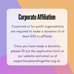#### CorporateAffiliation

Corporate or for-profit organisations are required to make a donation of at least £50 to affiliate.

Once you have made a donation, please fill out the application form on our website and email us at support@westandtogether.org.uk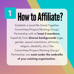## How to Affiliate?

Establish a local We Stand Together Committee/Project/Working Group/ Partnership with at least 5 members, hopefully from diverse backgrounds (age, gender, sexual orientation, ethnicity, religion, disability, etc.) This Committee/Project/Working Group/ Partnership can exist under the umbrella of your existing organisation.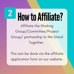# How to Affiliate?

Affiliate the Working Group/Committee/Project Group/ partnership to We Stand Together.

This can be done via the affiliate application form on our website.